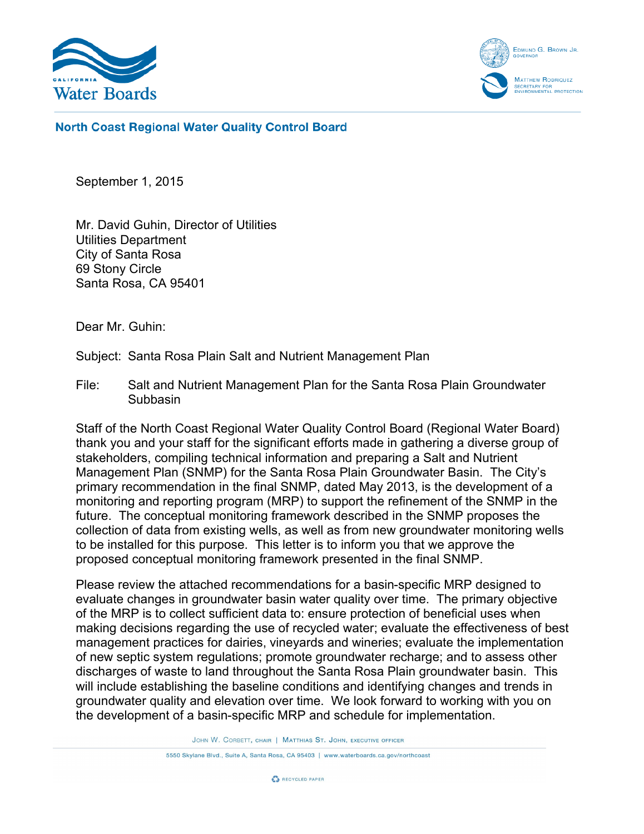



**North Coast Regional Water Quality Control Board** 

September 1, 2015

Mr. David Guhin, Director of Utilities Utilities Department City of Santa Rosa 69 Stony Circle Santa Rosa, CA 95401

Dear Mr. Guhin:

Subject: Santa Rosa Plain Salt and Nutrient Management Plan

File: Salt and Nutrient Management Plan for the Santa Rosa Plain Groundwater **Subbasin** 

Staff of the North Coast Regional Water Quality Control Board (Regional Water Board) thank you and your staff for the significant efforts made in gathering a diverse group of stakeholders, compiling technical information and preparing a Salt and Nutrient Management Plan (SNMP) for the Santa Rosa Plain Groundwater Basin. The City's primary recommendation in the final SNMP, dated May 2013, is the development of a monitoring and reporting program (MRP) to support the refinement of the SNMP in the future. The conceptual monitoring framework described in the SNMP proposes the collection of data from existing wells, as well as from new groundwater monitoring wells to be installed for this purpose. This letter is to inform you that we approve the proposed conceptual monitoring framework presented in the final SNMP.

Please review the attached recommendations for a basin-specific MRP designed to evaluate changes in groundwater basin water quality over time. The primary objective of the MRP is to collect sufficient data to: ensure protection of beneficial uses when making decisions regarding the use of recycled water; evaluate the effectiveness of best management practices for dairies, vineyards and wineries; evaluate the implementation of new septic system regulations; promote groundwater recharge; and to assess other discharges of waste to land throughout the Santa Rosa Plain groundwater basin. This will include establishing the baseline conditions and identifying changes and trends in groundwater quality and elevation over time. We look forward to working with you on the development of a basin-specific MRP and schedule for implementation.

JOHN W. CORBETT, CHAIR | MATTHIAS ST. JOHN, EXECUTIVE OFFICER

5550 Skylane Blvd., Suite A, Santa Rosa, CA 95403 | www.waterboards.ca.gov/northcoast

**C** RECYCLED PAPER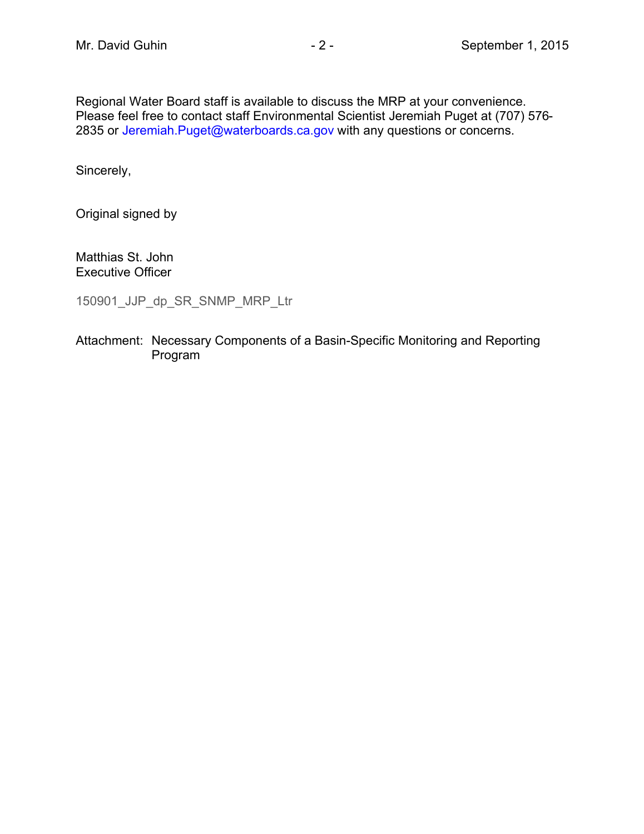Regional Water Board staff is available to discuss the MRP at your convenience. Please feel free to contact staff Environmental Scientist Jeremiah Puget at (707) 576- 2835 or [Jeremiah.Puget@waterboards.ca.gov](mailto:Jeremiah.Puget@waterboards.ca.gov) with any questions or concerns.

Sincerely,

Original signed by

Matthias St. John Executive Officer

150901\_JJP\_dp\_SR\_SNMP\_MRP\_Ltr

Attachment: Necessary Components of a Basin-Specific Monitoring and Reporting Program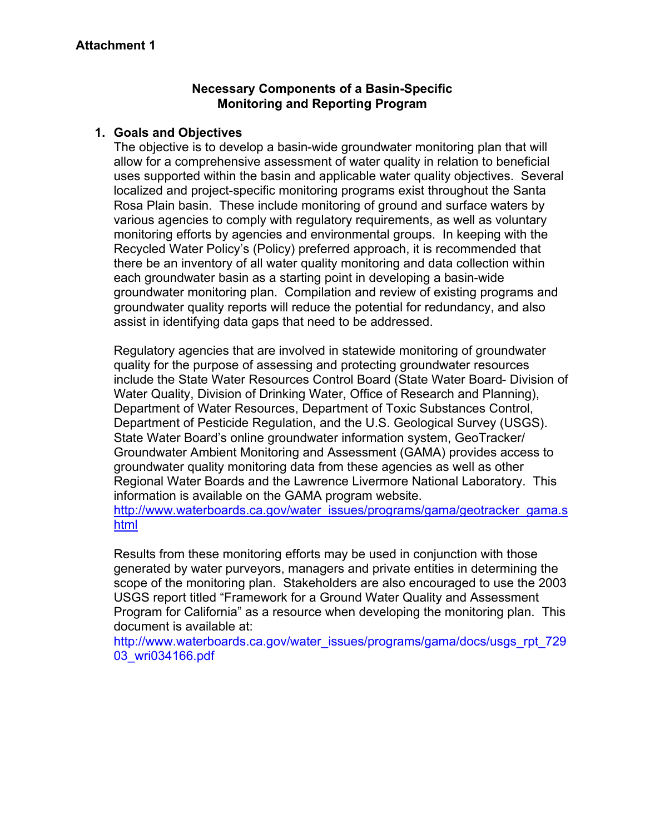#### **Necessary Components of a Basin-Specific Monitoring and Reporting Program**

#### **1. Goals and Objectives**

The objective is to develop a basin-wide groundwater monitoring plan that will allow for a comprehensive assessment of water quality in relation to beneficial uses supported within the basin and applicable water quality objectives. Several localized and project-specific monitoring programs exist throughout the Santa Rosa Plain basin. These include monitoring of ground and surface waters by various agencies to comply with regulatory requirements, as well as voluntary monitoring efforts by agencies and environmental groups. In keeping with the Recycled Water Policy's (Policy) preferred approach, it is recommended that there be an inventory of all water quality monitoring and data collection within each groundwater basin as a starting point in developing a basin-wide groundwater monitoring plan. Compilation and review of existing programs and groundwater quality reports will reduce the potential for redundancy, and also assist in identifying data gaps that need to be addressed.

Regulatory agencies that are involved in statewide monitoring of groundwater quality for the purpose of assessing and protecting groundwater resources include the State Water Resources Control Board (State Water Board- Division of Water Quality, Division of Drinking Water, Office of Research and Planning), Department of Water Resources, Department of Toxic Substances Control, Department of Pesticide Regulation, and the U.S. Geological Survey (USGS). State Water Board's online groundwater information system, GeoTracker/ Groundwater Ambient Monitoring and Assessment (GAMA) provides access to groundwater quality monitoring data from these agencies as well as other Regional Water Boards and the Lawrence Livermore National Laboratory. This information is available on the GAMA program website.

[http://www.waterboards.ca.gov/water\\_issues/programs/gama/geotracker\\_gama.s](http://www.waterboards.ca.gov/water_issues/programs/gama/geotracker_gama.shtml) [html](http://www.waterboards.ca.gov/water_issues/programs/gama/geotracker_gama.shtml)

Results from these monitoring efforts may be used in conjunction with those generated by water purveyors, managers and private entities in determining the scope of the monitoring plan. Stakeholders are also encouraged to use the 2003 USGS report titled "Framework for a Ground Water Quality and Assessment Program for California" as a resource when developing the monitoring plan. This document is available at:

http://www.waterboards.ca.gov/water\_issues/programs/gama/docs/usgs\_rpt\_729 03\_wri034166.pdf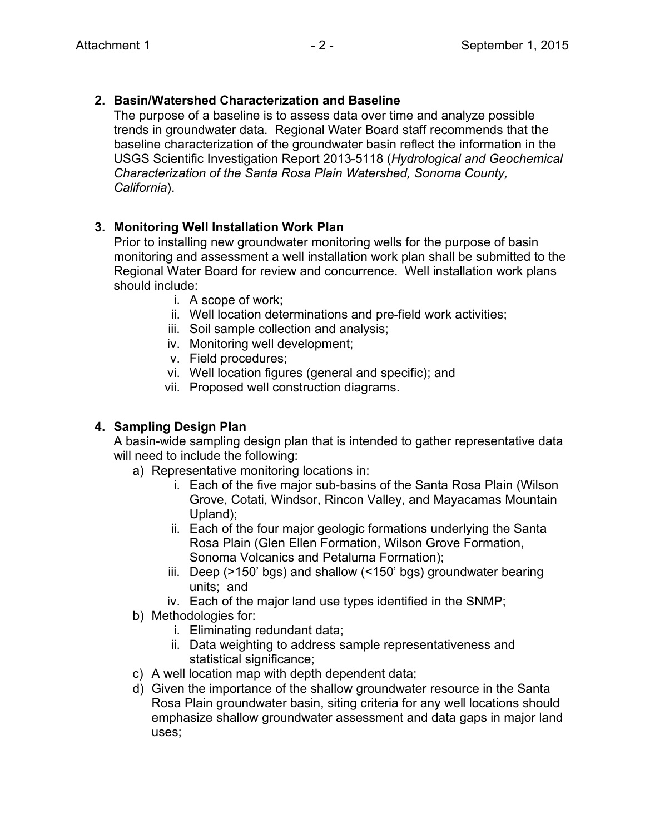### **2. Basin/Watershed Characterization and Baseline**

The purpose of a baseline is to assess data over time and analyze possible trends in groundwater data. Regional Water Board staff recommends that the baseline characterization of the groundwater basin reflect the information in the USGS Scientific Investigation Report 2013-5118 (*Hydrological and Geochemical Characterization of the Santa Rosa Plain Watershed, Sonoma County, California*).

# **3. Monitoring Well Installation Work Plan**

Prior to installing new groundwater monitoring wells for the purpose of basin monitoring and assessment a well installation work plan shall be submitted to the Regional Water Board for review and concurrence. Well installation work plans should include:

- i. A scope of work;
- ii. Well location determinations and pre-field work activities;
- iii. Soil sample collection and analysis;
- iv. Monitoring well development;
- v. Field procedures;
- vi. Well location figures (general and specific); and
- vii. Proposed well construction diagrams.

# **4. Sampling Design Plan**

A basin-wide sampling design plan that is intended to gather representative data will need to include the following:

- a) Representative monitoring locations in:
	- i. Each of the five major sub-basins of the Santa Rosa Plain (Wilson Grove, Cotati, Windsor, Rincon Valley, and Mayacamas Mountain Upland);
	- ii. Each of the four major geologic formations underlying the Santa Rosa Plain (Glen Ellen Formation, Wilson Grove Formation, Sonoma Volcanics and Petaluma Formation);
	- iii. Deep (>150' bgs) and shallow (<150' bgs) groundwater bearing units; and
	- iv. Each of the major land use types identified in the SNMP;
- b) Methodologies for:
	- i. Eliminating redundant data;
	- ii. Data weighting to address sample representativeness and statistical significance;
- c) A well location map with depth dependent data;
- d) Given the importance of the shallow groundwater resource in the Santa Rosa Plain groundwater basin, siting criteria for any well locations should emphasize shallow groundwater assessment and data gaps in major land uses;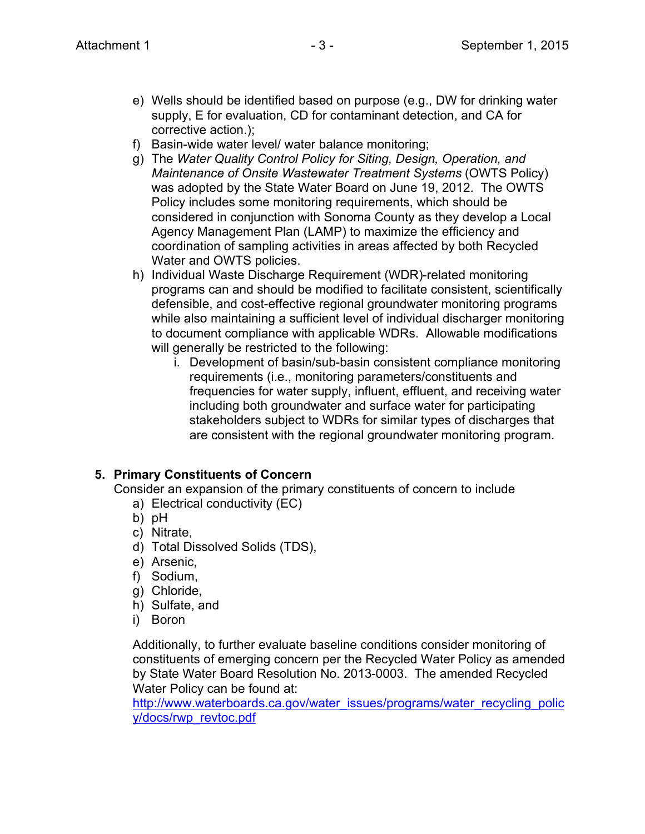- e) Wells should be identified based on purpose (e.g., DW for drinking water supply, E for evaluation, CD for contaminant detection, and CA for corrective action.);
- f) Basin-wide water level/ water balance monitoring;
- g) The *Water Quality Control Policy for Siting, Design, Operation, and Maintenance of Onsite Wastewater Treatment Systems* (OWTS Policy) was adopted by the State Water Board on June 19, 2012. The OWTS Policy includes some monitoring requirements, which should be considered in conjunction with Sonoma County as they develop a Local Agency Management Plan (LAMP) to maximize the efficiency and coordination of sampling activities in areas affected by both Recycled Water and OWTS policies.
- h) Individual Waste Discharge Requirement (WDR)-related monitoring programs can and should be modified to facilitate consistent, scientifically defensible, and cost-effective regional groundwater monitoring programs while also maintaining a sufficient level of individual discharger monitoring to document compliance with applicable WDRs. Allowable modifications will generally be restricted to the following:
	- i. Development of basin/sub-basin consistent compliance monitoring requirements (i.e., monitoring parameters/constituents and frequencies for water supply, influent, effluent, and receiving water including both groundwater and surface water for participating stakeholders subject to WDRs for similar types of discharges that are consistent with the regional groundwater monitoring program.

# **5. Primary Constituents of Concern**

Consider an expansion of the primary constituents of concern to include

- a) Electrical conductivity (EC)
- b) pH
- c) Nitrate,
- d) Total Dissolved Solids (TDS),
- e) Arsenic,
- f) Sodium,
- g) Chloride,
- h) Sulfate, and
- i) Boron

Additionally, to further evaluate baseline conditions consider monitoring of constituents of emerging concern per the Recycled Water Policy as amended by State Water Board Resolution No. 2013-0003. The amended Recycled Water Policy can be found at:

[http://www.waterboards.ca.gov/water\\_issues/programs/water\\_recycling\\_polic](http://www.waterboards.ca.gov/water_issues/programs/water_recycling_policy/docs/rwp_revtoc.pdf) [y/docs/rwp\\_revtoc.pdf](http://www.waterboards.ca.gov/water_issues/programs/water_recycling_policy/docs/rwp_revtoc.pdf)